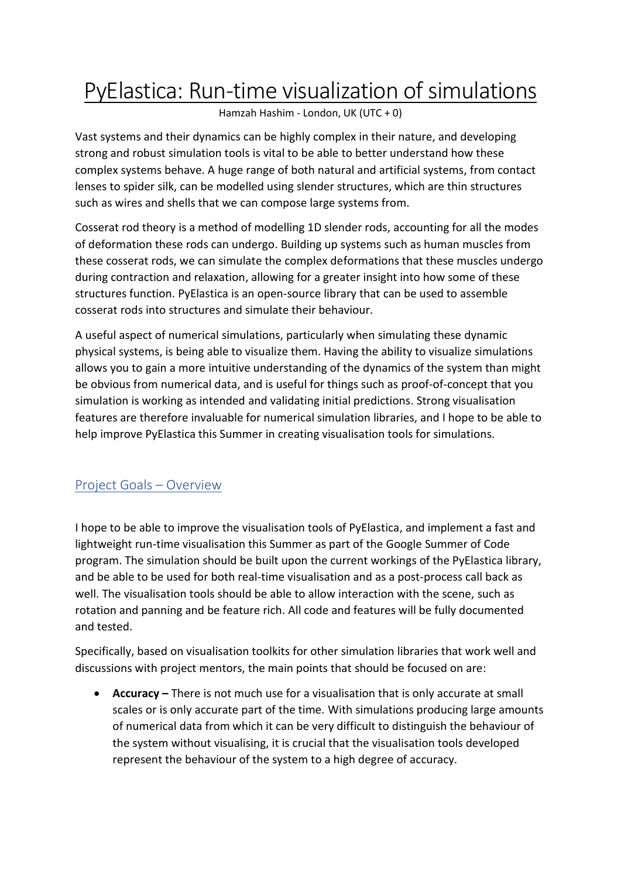## PyElastica: Run-time visualization of simulations

Hamzah Hashim - London, UK (UTC + 0)

Vast systems and their dynamics can be highly complex in their nature, and developing strong and robust simulation tools is vital to be able to better understand how these complex systems behave. A huge range of both natural and artificial systems, from contact lenses to spider silk, can be modelled using slender structures, which are thin structures such as wires and shells that we can compose large systems from.

Cosserat rod theory is a method of modelling 1D slender rods, accounting for all the modes of deformation these rods can undergo. Building up systems such as human muscles from these cosserat rods, we can simulate the complex deformations that these muscles undergo during contraction and relaxation, allowing for a greater insight into how some of these structures function. PyElastica is an open-source library that can be used to assemble cosserat rods into structures and simulate their behaviour.

A useful aspect of numerical simulations, particularly when simulating these dynamic physical systems, is being able to visualize them. Having the ability to visualize simulations allows you to gain a more intuitive understanding of the dynamics of the system than might be obvious from numerical data, and is useful for things such as proof-of-concept that you simulation is working as intended and validating initial predictions. Strong visualisation features are therefore invaluable for numerical simulation libraries, and I hope to be able to help improve PyElastica this Summer in creating visualisation tools for simulations.

## Project Goals – Overview

I hope to be able to improve the visualisation tools of PyElastica, and implement a fast and lightweight run-time visualisation this Summer as part of the Google Summer of Code program. The simulation should be built upon the current workings of the PyElastica library, and be able to be used for both real-time visualisation and as a post-process call back as well. The visualisation tools should be able to allow interaction with the scene, such as rotation and panning and be feature rich. All code and features will be fully documented and tested.

Specifically, based on visualisation toolkits for other simulation libraries that work well and discussions with project mentors, the main points that should be focused on are:

• **Accuracy –** There is not much use for a visualisation that is only accurate at small scales or is only accurate part of the time. With simulations producing large amounts of numerical data from which it can be very difficult to distinguish the behaviour of the system without visualising, it is crucial that the visualisation tools developed represent the behaviour of the system to a high degree of accuracy.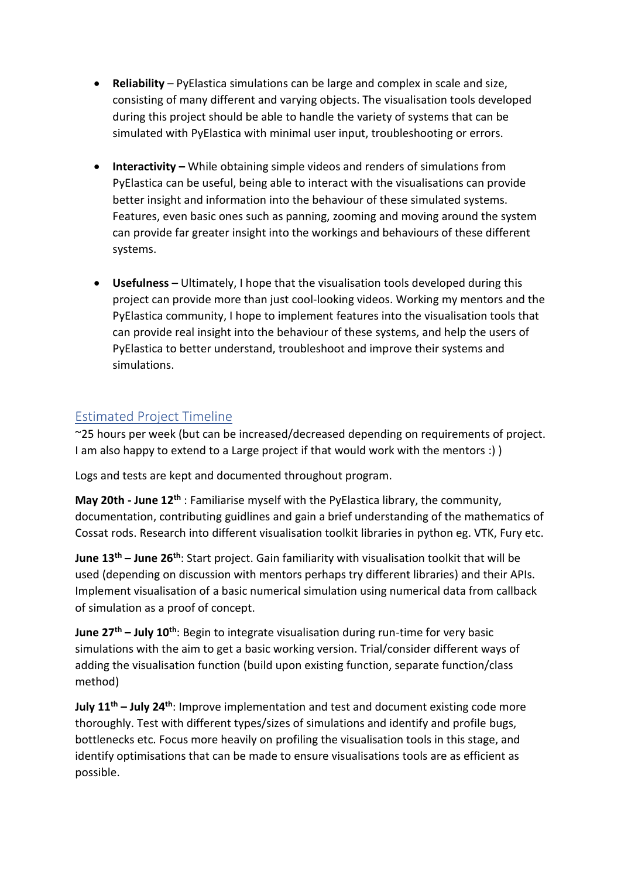- **Reliability** PyElastica simulations can be large and complex in scale and size, consisting of many different and varying objects. The visualisation tools developed during this project should be able to handle the variety of systems that can be simulated with PyElastica with minimal user input, troubleshooting or errors.
- **Interactivity** While obtaining simple videos and renders of simulations from PyElastica can be useful, being able to interact with the visualisations can provide better insight and information into the behaviour of these simulated systems. Features, even basic ones such as panning, zooming and moving around the system can provide far greater insight into the workings and behaviours of these different systems.
- **Usefulness –** Ultimately, I hope that the visualisation tools developed during this project can provide more than just cool-looking videos. Working my mentors and the PyElastica community, I hope to implement features into the visualisation tools that can provide real insight into the behaviour of these systems, and help the users of PyElastica to better understand, troubleshoot and improve their systems and simulations.

## Estimated Project Timeline

~25 hours per week (but can be increased/decreased depending on requirements of project. I am also happy to extend to a Large project if that would work with the mentors :) )

Logs and tests are kept and documented throughout program.

**May 20th - June 12th** : Familiarise myself with the PyElastica library, the community, documentation, contributing guidlines and gain a brief understanding of the mathematics of Cossat rods. Research into different visualisation toolkit libraries in python eg. VTK, Fury etc.

**June 13 th – June 26th**: Start project. Gain familiarity with visualisation toolkit that will be used (depending on discussion with mentors perhaps try different libraries) and their APIs. Implement visualisation of a basic numerical simulation using numerical data from callback of simulation as a proof of concept.

**June 27<sup>th</sup> – July 10<sup>th</sup>: Begin to integrate visualisation during run-time for very basic** simulations with the aim to get a basic working version. Trial/consider different ways of adding the visualisation function (build upon existing function, separate function/class method)

**July 11 th – July 24th**: Improve implementation and test and document existing code more thoroughly. Test with different types/sizes of simulations and identify and profile bugs, bottlenecks etc. Focus more heavily on profiling the visualisation tools in this stage, and identify optimisations that can be made to ensure visualisations tools are as efficient as possible.